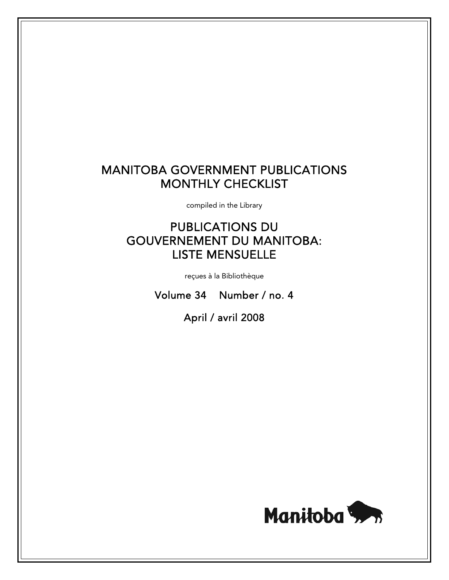# MANITOBA GOVERNMENT PUBLICATIONS MONTHLY CHECKLIST

compiled in the Library

# PUBLICATIONS DU GOUVERNEMENT DU MANITOBA: LISTE MENSUELLE

reçues à la Bibliothèque

Volume 34 Number / no. 4

April / avril 2008

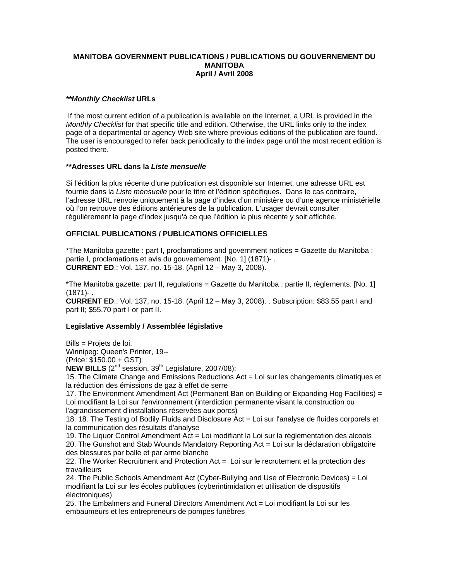### **MANITOBA GOVERNMENT PUBLICATIONS / PUBLICATIONS DU GOUVERNEMENT DU MANITOBA April / Avril 2008**

# *\*\*Monthly Checklist* **URLs**

 If the most current edition of a publication is available on the Internet, a URL is provided in the *Monthly Checklist* for that specific title and edition. Otherwise, the URL links only to the index page of a departmental or agency Web site where previous editions of the publication are found. The user is encouraged to refer back periodically to the index page until the most recent edition is posted there.

# **\*\*Adresses URL dans la** *Liste mensuelle*

Si l'édition la plus récente d'une publication est disponible sur Internet, une adresse URL est fournie dans la *Liste mensuelle* pour le titre et l'édition spécifiques. Dans le cas contraire, l'adresse URL renvoie uniquement à la page d'index d'un ministère ou d'une agence ministérielle où l'on retrouve des éditions antérieures de la publication. L'usager devrait consulter régulièrement la page d'index jusqu'à ce que l'édition la plus récente y soit affichée.

# **OFFICIAL PUBLICATIONS / PUBLICATIONS OFFICIELLES**

\*The Manitoba gazette : part I, proclamations and government notices = Gazette du Manitoba : partie I, proclamations et avis du gouvernement. [No. 1] (1871)- . **CURRENT ED**.: Vol. 137, no. 15-18. (April 12 – May 3, 2008).

\*The Manitoba gazette: part II, regulations = Gazette du Manitoba : partie II, règlements. [No. 1] (1871)- .

**CURRENT ED**.: Vol. 137, no. 15-18. (April 12 – May 3, 2008). . Subscription: \$83.55 part I and part II; \$55.70 part I or part II.

#### **Legislative Assembly / Assemblée législative**

Bills = Projets de loi.

Winnipeg: Queen's Printer, 19--

(Price: \$150.00 + GST)

 $NEW$  BILLS  $(2^{nd}$  session,  $39^{th}$  Legislature,  $2007/08$ ):

15. The Climate Change and Emissions Reductions Act = Loi sur les changements climatiques et la réduction des émissions de gaz à effet de serre

17. The Environment Amendment Act (Permanent Ban on Building or Expanding Hog Facilities) = Loi modifiant la Loi sur l'environnement (interdiction permanente visant la construction ou l'agrandissement d'installations réservées aux porcs)

18. 18. The Testing of Bodily Fluids and Disclosure Act = Loi sur l'analyse de fluides corporels et la communication des résultats d'analyse

19. The Liquor Control Amendment Act = Loi modifiant la Loi sur la réglementation des alcools 20. The Gunshot and Stab Wounds Mandatory Reporting Act = Loi sur la déclaration obligatoire des blessures par balle et par arme blanche

22. The Worker Recruitment and Protection Act = Loi sur le recrutement et la protection des travailleurs

24. The Public Schools Amendment Act (Cyber-Bullying and Use of Electronic Devices) = Loi modifiant la Loi sur les écoles publiques (cyberintimidation et utilisation de dispositifs électroniques)

25. The Embalmers and Funeral Directors Amendment Act = Loi modifiant la Loi sur les embaumeurs et les entrepreneurs de pompes funèbres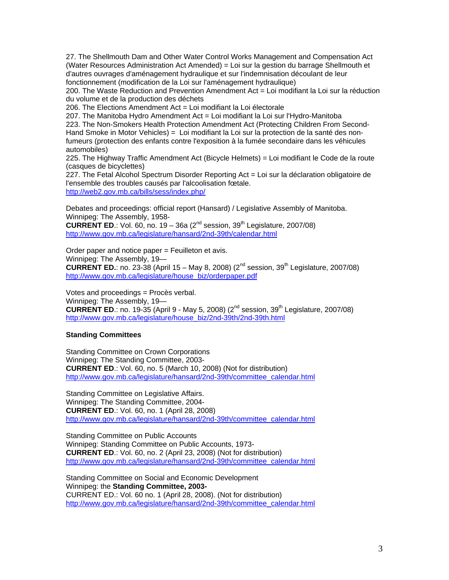27. The Shellmouth Dam and Other Water Control Works Management and Compensation Act (Water Resources Administration Act Amended) = Loi sur la gestion du barrage Shellmouth et d'autres ouvrages d'aménagement hydraulique et sur l'indemnisation découlant de leur fonctionnement (modification de la Loi sur l'aménagement hydraulique)

200. The Waste Reduction and Prevention Amendment Act = Loi modifiant la Loi sur la réduction du volume et de la production des déchets

206. The Elections Amendment Act = Loi modifiant la Loi électorale

207. The Manitoba Hydro Amendment Act = Loi modifiant la Loi sur l'Hydro-Manitoba 223. The Non-Smokers Health Protection Amendment Act (Protecting Children From Second-Hand Smoke in Motor Vehicles) = Loi modifiant la Loi sur la protection de la santé des nonfumeurs (protection des enfants contre l'exposition à la fumée secondaire dans les véhicules automobiles)

225. The Highway Traffic Amendment Act (Bicycle Helmets) = Loi modifiant le Code de la route (casques de bicyclettes)

227. The Fetal Alcohol Spectrum Disorder Reporting Act = Loi sur la déclaration obligatoire de l'ensemble des troubles causés par l'alcoolisation fœtale.

[http://web2.gov.mb.ca/bills/sess/index.php/](https://web2.gov.mb.ca/bills/sess/index.php/)

Debates and proceedings: official report (Hansard) / Legislative Assembly of Manitoba. Winnipeg: The Assembly, 1958-

**CURRENT ED.:** Vol. 60, no. 19 – 36a ( $2^{nd}$  session,  $39^{th}$  Legislature, 2007/08) [http://www.gov.mb.ca/legislature/hansard/2nd-39th/calendar.html](https://www.gov.mb.ca/legislature/hansard/2nd-39th/calendar.html)

Order paper and notice paper = Feuilleton et avis. Winnipeg: The Assembly, 19— **CURRENT ED.**: no. 23-38 (April 15 – May 8, 2008) ( $2^{nd}$  session,  $39^{th}$  Legislature, 2007/08) [http://www.gov.mb.ca/legislature/house\\_biz/orderpaper.pdf](https://www.gov.mb.ca/legislature/house_biz/orderpaper.pdf)

Votes and proceedings = Procès verbal. Winnipeg: The Assembly, 19— **CURRENT ED.:** no. 19-35 (April 9 - May 5, 2008) (2<sup>nd</sup> session, 39<sup>th</sup> Legislature, 2007/08) [http://www.gov.mb.ca/legislature/house\\_biz/2nd-39th/2nd-39th.html](https://www.gov.mb.ca/legislature/house_biz/2nd-39th/2nd-39th.html)

# **Standing Committees**

Standing Committee on Crown Corporations Winnipeg: The Standing Committee, 2003- **CURRENT ED**.: Vol. 60, no. 5 (March 10, 2008) (Not for distribution) [http://www.gov.mb.ca/legislature/hansard/2nd-39th/committee\\_calendar.html](https://www.gov.mb.ca/legislature/hansard/2nd-39th/committee_calendar.html)

Standing Committee on Legislative Affairs. Winnipeg: The Standing Committee, 2004- **CURRENT ED**.: Vol. 60, no. 1 (April 28, 2008) [http://www.gov.mb.ca/legislature/hansard/2nd-39th/committee\\_calendar.html](https://www.gov.mb.ca/legislature/hansard/2nd-39th/committee_calendar.html)

Standing Committee on Public Accounts Winnipeg: Standing Committee on Public Accounts, 1973- **CURRENT ED**.: Vol. 60, no. 2 (April 23, 2008) (Not for distribution) [http://www.gov.mb.ca/legislature/hansard/2nd-39th/committee\\_calendar.html](https://www.gov.mb.ca/legislature/hansard/2nd-39th/committee_calendar.html)

Standing Committee on Social and Economic Development Winnipeg: the **Standing Committee, 2003-**  CURRENT ED.: Vol. 60 no. 1 (April 28, 2008). (Not for distribution) [http://www.gov.mb.ca/legislature/hansard/2nd-39th/committee\\_calendar.html](https://www.gov.mb.ca/legislature/hansard/2nd-39th/committee_calendar.html)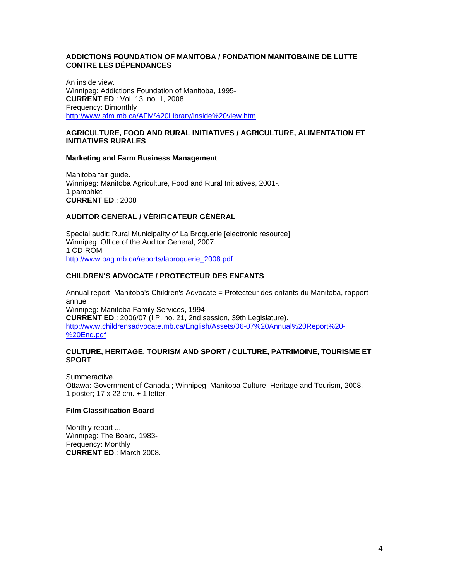## **ADDICTIONS FOUNDATION OF MANITOBA / FONDATION MANITOBAINE DE LUTTE CONTRE LES DÉPENDANCES**

An inside view. Winnipeg: Addictions Foundation of Manitoba, 1995- **CURRENT ED**.: Vol. 13, no. 1, 2008 Frequency: Bimonthly <http://www.afm.mb.ca/AFM%20Library/inside%20view.htm>

# **AGRICULTURE, FOOD AND RURAL INITIATIVES / AGRICULTURE, ALIMENTATION ET INITIATIVES RURALES**

#### **Marketing and Farm Business Management**

Manitoba fair guide. Winnipeg: Manitoba Agriculture, Food and Rural Initiatives, 2001-. 1 pamphlet **CURRENT ED**.: 2008

# **AUDITOR GENERAL / VÉRIFICATEUR GÉNÉRAL**

Special audit: Rural Municipality of La Broquerie [electronic resource] Winnipeg: Office of the Auditor General, 2007. 1 CD-ROM [http://www.oag.mb.ca/reports/labroquerie\\_2008.pdf](http://www.oag.mb.ca/reports/labroquerie_2008.pdf)

# **CHILDREN'S ADVOCATE / PROTECTEUR DES ENFANTS**

Annual report, Manitoba's Children's Advocate = Protecteur des enfants du Manitoba, rapport annuel. Winnipeg: Manitoba Family Services, 1994- **CURRENT ED**.: 2006/07 (I.P. no. 21, 2nd session, 39th Legislature). [http://www.childrensadvocate.mb.ca/English/Assets/06-07%20Annual%20Report%20-](http://www.childrensadvocate.mb.ca/English/Assets/06-07%20Annual%20Report%20-%20Eng.pdf) [%20Eng.pdf](http://www.childrensadvocate.mb.ca/English/Assets/06-07%20Annual%20Report%20-%20Eng.pdf)

## **CULTURE, HERITAGE, TOURISM AND SPORT / CULTURE, PATRIMOINE, TOURISME ET SPORT**

Summeractive. Ottawa: Government of Canada ; Winnipeg: Manitoba Culture, Heritage and Tourism, 2008. 1 poster; 17 x 22 cm. + 1 letter.

# **Film Classification Board**

Monthly report ... Winnipeg: The Board, 1983- Frequency: Monthly **CURRENT ED**.: March 2008.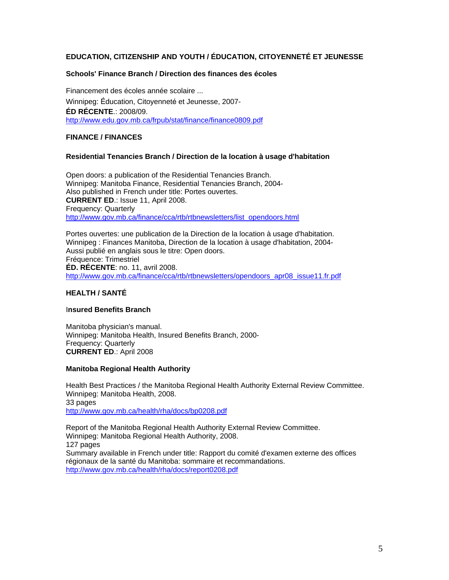# **EDUCATION, CITIZENSHIP AND YOUTH / ÉDUCATION, CITOYENNETÉ ET JEUNESSE**

### **Schools' Finance Branch / Direction des finances des écoles**

Financement des écoles année scolaire ... Winnipeg: Éducation, Citoyenneté et Jeunesse, 2007- **ÉD RÉCENTE**.: 2008/09. <http://www.edu.gov.mb.ca/frpub/stat/finance/finance0809.pdf>

# **FINANCE / FINANCES**

#### **Residential Tenancies Branch / Direction de la location** à **usage d'habitation**

Open doors: a publication of the Residential Tenancies Branch. Winnipeg: Manitoba Finance, Residential Tenancies Branch, 2004- Also published in French under title: Portes ouvertes. **CURRENT ED**.: Issue 11, April 2008. Frequency: Quarterly [http://www.gov.mb.ca/finance/cca/rtb/rtbnewsletters/list\\_opendoors.html](https://www.gov.mb.ca/finance/cca/rtb/rtbnewsletters/list_opendoors.html)

Portes ouvertes: une publication de la Direction de la location à usage d'habitation. Winnipeg : Finances Manitoba, Direction de la location à usage d'habitation, 2004- Aussi publié en anglais sous le titre: Open doors. Fréquence: Trimestriel **ÉD. RÉCENTE**: no. 11, avril 2008. [http://www.gov.mb.ca/finance/cca/rtb/rtbnewsletters/opendoors\\_apr08\\_issue11.fr.pdf](https://www.gov.mb.ca/finance/cca/rtb/rtbnewsletters/opendoors_apr08_issue11.fr.pdf)

#### **HEALTH / SANTÉ**

## I**nsured Benefits Branch**

Manitoba physician's manual. Winnipeg: Manitoba Health, Insured Benefits Branch, 2000- Frequency: Quarterly **CURRENT ED**.: April 2008

#### **Manitoba Regional Health Authority**

Health Best Practices / the Manitoba Regional Health Authority External Review Committee. Winnipeg: Manitoba Health, 2008. 33 pages [http://www.gov.mb.ca/health/rha/docs/bp0208.pdf](https://www.gov.mb.ca/health/rha/docs/bp0208.pdf)

Report of the Manitoba Regional Health Authority External Review Committee. Winnipeg: Manitoba Regional Health Authority, 2008. 127 pages Summary available in French under title: Rapport du comité d'examen externe des offices régionaux de la santé du Manitoba: sommaire et recommandations. [http://www.gov.mb.ca/health/rha/docs/report0208.pdf](https://www.gov.mb.ca/health/rha/docs/report0208.pdf)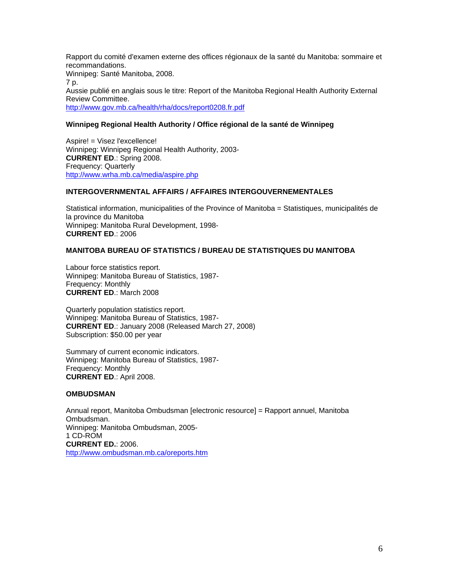Rapport du comité d'examen externe des offices régionaux de la santé du Manitoba: sommaire et recommandations. Winnipeg: Santé Manitoba, 2008. 7 p. Aussie publié en anglais sous le titre: Report of the Manitoba Regional Health Authority External Review Committee. [http://www.gov.mb.ca/health/rha/docs/report0208.fr.pdf](https://www.gov.mb.ca/health/rha/docs/report0208.fr.pdf)

# **Winnipeg Regional Health Authority / Office régional de la santé de Winnipeg**

Aspire! = Visez l'excellence! Winnipeg: Winnipeg Regional Health Authority, 2003- **CURRENT ED**.: Spring 2008. Frequency: Quarterly <http://www.wrha.mb.ca/media/aspire.php>

# **INTERGOVERNMENTAL AFFAIRS / AFFAIRES INTERGOUVERNEMENTALES**

Statistical information, municipalities of the Province of Manitoba = Statistiques, municipalités de la province du Manitoba Winnipeg: Manitoba Rural Development, 1998- **CURRENT ED**.: 2006

# **MANITOBA BUREAU OF STATISTICS / BUREAU DE STATISTIQUES DU MANITOBA**

Labour force statistics report. Winnipeg: Manitoba Bureau of Statistics, 1987- Frequency: Monthly **CURRENT ED**.: March 2008

Quarterly population statistics report. Winnipeg: Manitoba Bureau of Statistics, 1987- **CURRENT ED**.: January 2008 (Released March 27, 2008) Subscription: \$50.00 per year

Summary of current economic indicators. Winnipeg: Manitoba Bureau of Statistics, 1987- Frequency: Monthly **CURRENT ED**.: April 2008.

#### **OMBUDSMAN**

Annual report, Manitoba Ombudsman [electronic resource] = Rapport annuel, Manitoba Ombudsman. Winnipeg: Manitoba Ombudsman, 2005- 1 CD-ROM **CURRENT ED.**: 2006. <http://www.ombudsman.mb.ca/oreports.htm>